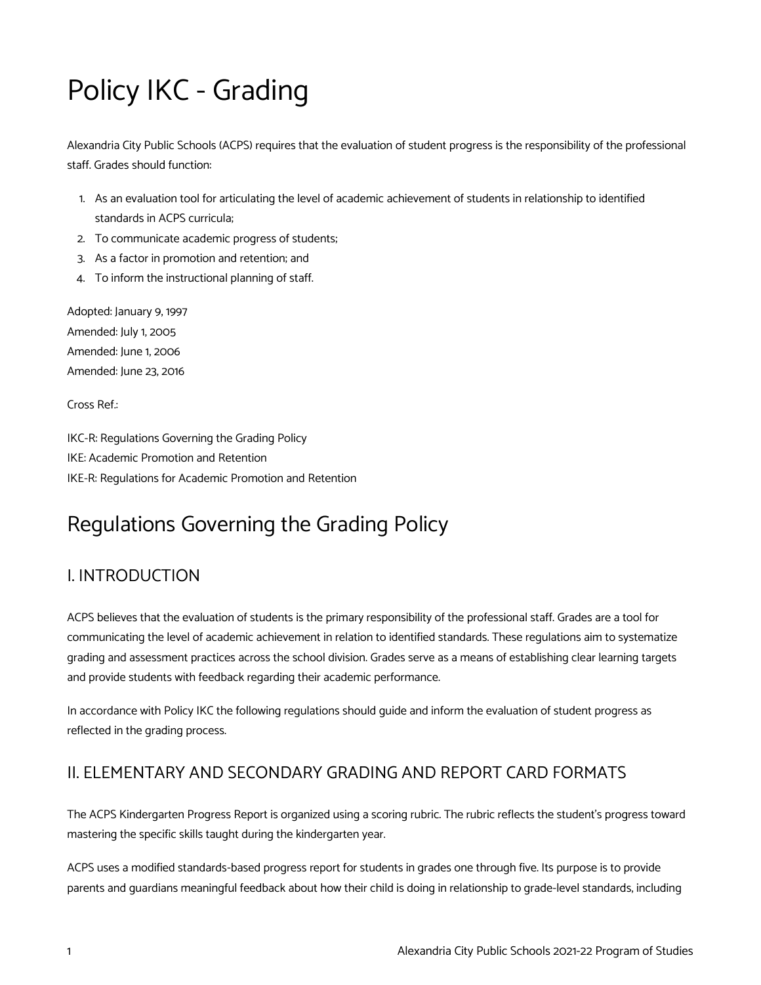# Policy IKC - Grading

Alexandria City Public Schools (ACPS) requires that the evaluation of student progress is the responsibility of the professional staff. Grades should function:

- 1. As an evaluation tool for articulating the level of academic achievement of students in relationship to identified standards in ACPS curricula;
- 2. To communicate academic progress of students;
- 3. As a factor in promotion and retention; and
- 4. To inform the instructional planning of staff.

Adopted: January 9, 1997 Amended: July 1, 2005 Amended: June 1, 2006 Amended: June 23, 2016

Cross Ref.:

IKC-R: Regulations Governing the Grading Policy IKE: Academic Promotion and Retention IKE-R: Regulations for Academic Promotion and Retention

## Regulations Governing the Grading Policy

## I. INTRODUCTION

ACPS believes that the evaluation of students is the primary responsibility of the professional staff. Grades are a tool for communicating the level of academic achievement in relation to identified standards. These regulations aim to systematize grading and assessment practices across the school division. Grades serve as a means of establishing clear learning targets and provide students with feedback regarding their academic performance.

In accordance with Policy IKC the following regulations should guide and inform the evaluation of student progress as reflected in the grading process.

#### II. ELEMENTARY AND SECONDARY GRADING AND REPORT CARD FORMATS

The ACPS Kindergarten Progress Report is organized using a scoring rubric. The rubric reflects the student's progress toward mastering the specific skills taught during the kindergarten year.

ACPS uses a modified standards-based progress report for students in grades one through five. Its purpose is to provide parents and guardians meaningful feedback about how their child is doing in relationship to grade-level standards, including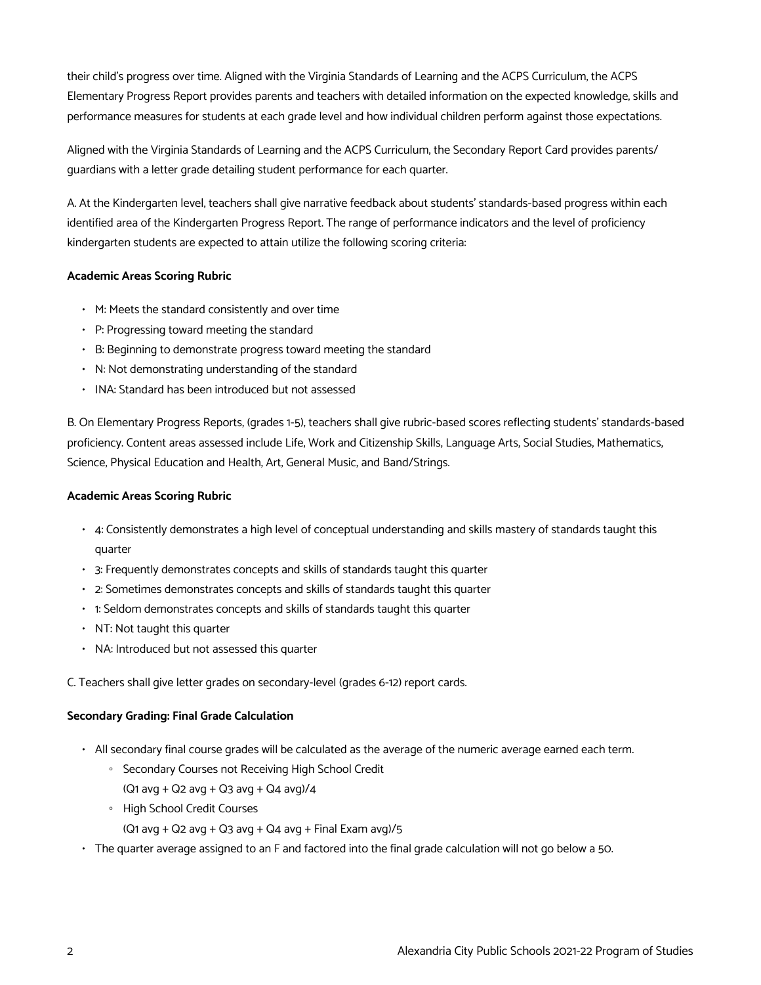their child's progress over time. Aligned with the Virginia Standards of Learning and the ACPS Curriculum, the ACPS Elementary Progress Report provides parents and teachers with detailed information on the expected knowledge, skills and performance measures for students at each grade level and how individual children perform against those expectations.

Aligned with the Virginia Standards of Learning and the ACPS Curriculum, the Secondary Report Card provides parents/ guardians with a letter grade detailing student performance for each quarter.

A. At the Kindergarten level, teachers shall give narrative feedback about students' standards-based progress within each identified area of the Kindergarten Progress Report. The range of performance indicators and the level of proficiency kindergarten students are expected to attain utilize the following scoring criteria:

#### **Academic Areas Scoring Rubric**

- M: Meets the standard consistently and over time
- P: Progressing toward meeting the standard
- B: Beginning to demonstrate progress toward meeting the standard
- N: Not demonstrating understanding of the standard
- INA: Standard has been introduced but not assessed

B. On Elementary Progress Reports, (grades 1-5), teachers shall give rubric-based scores reflecting students' standards-based proficiency. Content areas assessed include Life, Work and Citizenship Skills, Language Arts, Social Studies, Mathematics, Science, Physical Education and Health, Art, General Music, and Band/Strings.

#### **Academic Areas Scoring Rubric**

- 4: Consistently demonstrates a high level of conceptual understanding and skills mastery of standards taught this quarter
- 3: Frequently demonstrates concepts and skills of standards taught this quarter
- 2: Sometimes demonstrates concepts and skills of standards taught this quarter
- 1: Seldom demonstrates concepts and skills of standards taught this quarter
- NT: Not taught this quarter
- NA: Introduced but not assessed this quarter

C. Teachers shall give letter grades on secondary-level (grades 6-12) report cards.

#### **Secondary Grading: Final Grade Calculation**

- All secondary final course grades will be calculated as the average of the numeric average earned each term.
	- Secondary Courses not Receiving High School Credit
	- $(Q1 avg + Q2 avg + Q3 avg + Q4 avg)/4$
	- High School Credit Courses
		- $(Q_1$  avg +  $Q_2$  avg +  $Q_3$  avg +  $Q_4$  avg + Final Exam avg)/5
- The quarter average assigned to an F and factored into the final grade calculation will not go below a 50.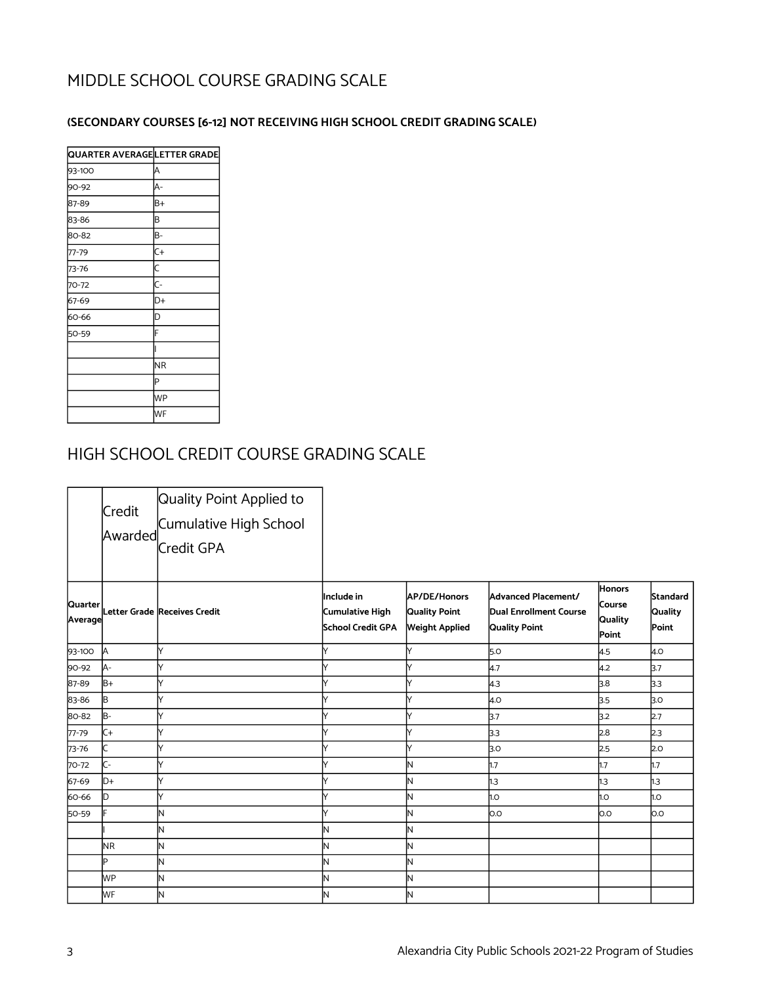## MIDDLE SCHOOL COURSE GRADING SCALE

#### **(SECONDARY COURSES [6-12] NOT RECEIVING HIGH SCHOOL CREDIT GRADING SCALE)**

| QUARTER AVERAGELETTER GRADE |                |
|-----------------------------|----------------|
| 93-100                      | Α              |
| 90-92                       | A-             |
| 87-89                       | B+             |
| 83-86                       | B              |
| 80-82                       | B-             |
| 77-79                       | $C+$           |
| 73-76                       | $\mathsf{C}$   |
| 70-72                       | $\overline{C}$ |
| 67-69                       | D+             |
| 60-66                       | D              |
| 50-59                       | F              |
|                             |                |
|                             | <b>NR</b>      |
|                             | Þ              |
|                             | <b>WP</b>      |
|                             | WF             |

#### HIGH SCHOOL CREDIT COURSE GRADING SCALE

|                    | Credit<br>Awarded | Quality Point Applied to<br>Cumulative High School<br>Credit GPA |                                                     |                                                               |                                                                |                                             |                                     |
|--------------------|-------------------|------------------------------------------------------------------|-----------------------------------------------------|---------------------------------------------------------------|----------------------------------------------------------------|---------------------------------------------|-------------------------------------|
| Quarter<br>Average |                   | Letter Grade  Receives Credit                                    | lInclude in<br>Cumulative High<br>School Credit GPA | <b>AP/DE/Honors</b><br>Quality Point<br><b>Weight Applied</b> | Advanced Placement/<br>Dual Enrollment Course<br>Quality Point | <b>Honors</b><br>Course<br>Quality<br>Point | Standard<br><b>Quality</b><br>Point |
| 93-100             | A                 |                                                                  | Y                                                   | V                                                             | 5.0                                                            | 4.5                                         | 4.0                                 |
| 90-92              | JA-               |                                                                  |                                                     |                                                               | 4.7                                                            | 4.2                                         | 3.7                                 |
| 87-89              | B+                |                                                                  |                                                     |                                                               | 4.3                                                            | 3.8                                         | 3.3                                 |
| 83-86              | B                 |                                                                  | v                                                   |                                                               | 4.0                                                            | 3.5                                         | 3.o                                 |
| 80-82              | lB-               |                                                                  |                                                     |                                                               | 3.7                                                            | 3.2                                         | 2.7                                 |
| $77 - 79$          | lc+               | M                                                                | Y                                                   | V                                                             | 3 <sub>3</sub>                                                 | 2.8                                         | 2.3                                 |
| 73-76              |                   |                                                                  | Y                                                   | V                                                             | 3.O                                                            | 2.5                                         | 2.0                                 |
| 70-72              | lc-               |                                                                  | Υ                                                   | N                                                             | h.7                                                            | 1.7                                         | 1.7                                 |
| 67-69              | ID+               |                                                                  |                                                     | N                                                             | h.3                                                            | 1.3                                         | 1.3                                 |
| 60-66              | D                 |                                                                  | V                                                   | Ν                                                             | 1.0                                                            | 1.0                                         | 1.O                                 |
| 50-59              |                   | N                                                                | Y                                                   | N                                                             | lo.o                                                           | O.O                                         | O.O                                 |
|                    |                   | lΝ                                                               | N                                                   | N                                                             |                                                                |                                             |                                     |
|                    | <b>NR</b>         | lΝ                                                               | N                                                   | N                                                             |                                                                |                                             |                                     |
|                    | IÞ                | IN.                                                              | Ν                                                   | Ν                                                             |                                                                |                                             |                                     |
|                    | MР                | lΝ                                                               | N                                                   | N                                                             |                                                                |                                             |                                     |
|                    | МF                | lΝ                                                               | N                                                   | N                                                             |                                                                |                                             |                                     |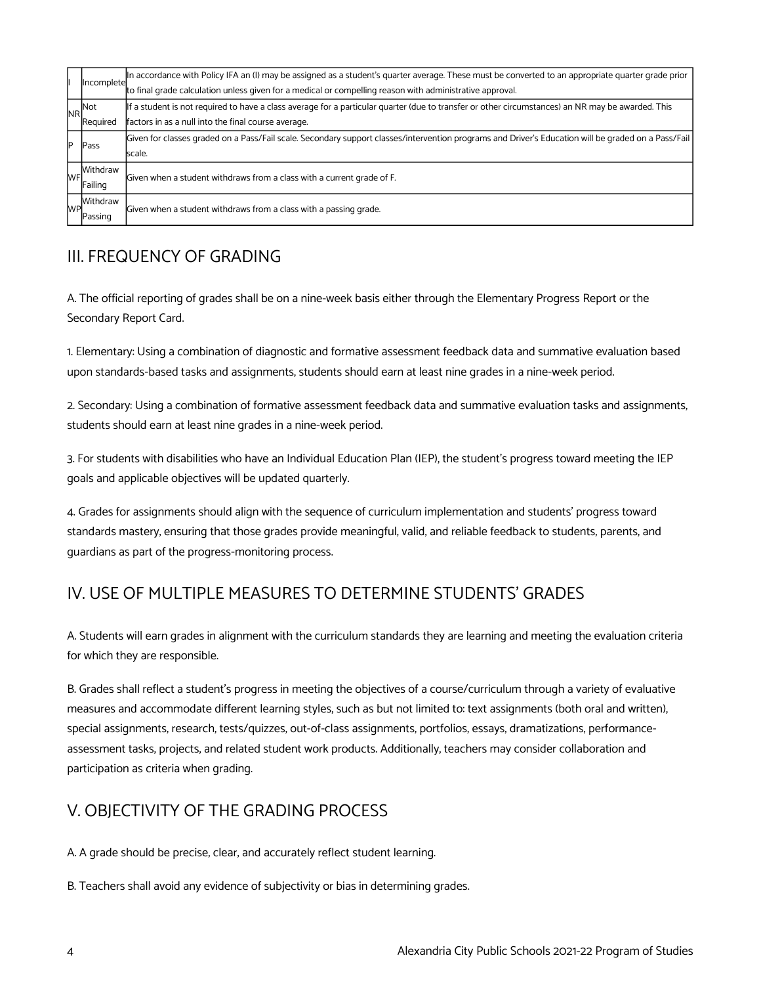|            | Incomplete | In accordance with Policy IFA an (I) may be assigned as a student's quarter average. These must be converted to an appropriate quarter grade prior  |  |  |  |  |
|------------|------------|-----------------------------------------------------------------------------------------------------------------------------------------------------|--|--|--|--|
|            |            | to final grade calculation unless given for a medical or compelling reason with administrative approval.                                            |  |  |  |  |
| <b>NRI</b> | Not        | If a student is not required to have a class average for a particular quarter (due to transfer or other circumstances) an NR may be awarded. This   |  |  |  |  |
|            | Required   | factors in as a null into the final course average.                                                                                                 |  |  |  |  |
| D          | Pass       | Given for classes graded on a Pass/Fail scale. Secondary support classes/intervention programs and Driver's Education will be graded on a Pass/Fail |  |  |  |  |
|            |            | scale.                                                                                                                                              |  |  |  |  |
|            | Withdraw   | Given when a student withdraws from a class with a current grade of F.                                                                              |  |  |  |  |
|            | Failing    |                                                                                                                                                     |  |  |  |  |
|            | Withdraw   | Given when a student withdraws from a class with a passing grade.                                                                                   |  |  |  |  |
|            | Passing    |                                                                                                                                                     |  |  |  |  |

#### III. FREQUENCY OF GRADING

A. The official reporting of grades shall be on a nine-week basis either through the Elementary Progress Report or the Secondary Report Card.

1. Elementary: Using a combination of diagnostic and formative assessment feedback data and summative evaluation based upon standards-based tasks and assignments, students should earn at least nine grades in a nine-week period.

2. Secondary: Using a combination of formative assessment feedback data and summative evaluation tasks and assignments, students should earn at least nine grades in a nine-week period.

3. For students with disabilities who have an Individual Education Plan (IEP), the student's progress toward meeting the IEP goals and applicable objectives will be updated quarterly.

4. Grades for assignments should align with the sequence of curriculum implementation and students' progress toward standards mastery, ensuring that those grades provide meaningful, valid, and reliable feedback to students, parents, and guardians as part of the progress-monitoring process.

## IV. USE OF MULTIPLE MEASURES TO DETERMINE STUDENTS' GRADES

A. Students will earn grades in alignment with the curriculum standards they are learning and meeting the evaluation criteria for which they are responsible.

B. Grades shall reflect a student's progress in meeting the objectives of a course/curriculum through a variety of evaluative measures and accommodate different learning styles, such as but not limited to: text assignments (both oral and written), special assignments, research, tests/quizzes, out-of-class assignments, portfolios, essays, dramatizations, performanceassessment tasks, projects, and related student work products. Additionally, teachers may consider collaboration and participation as criteria when grading.

#### V. OBJECTIVITY OF THE GRADING PROCESS

A. A grade should be precise, clear, and accurately reflect student learning.

B. Teachers shall avoid any evidence of subjectivity or bias in determining grades.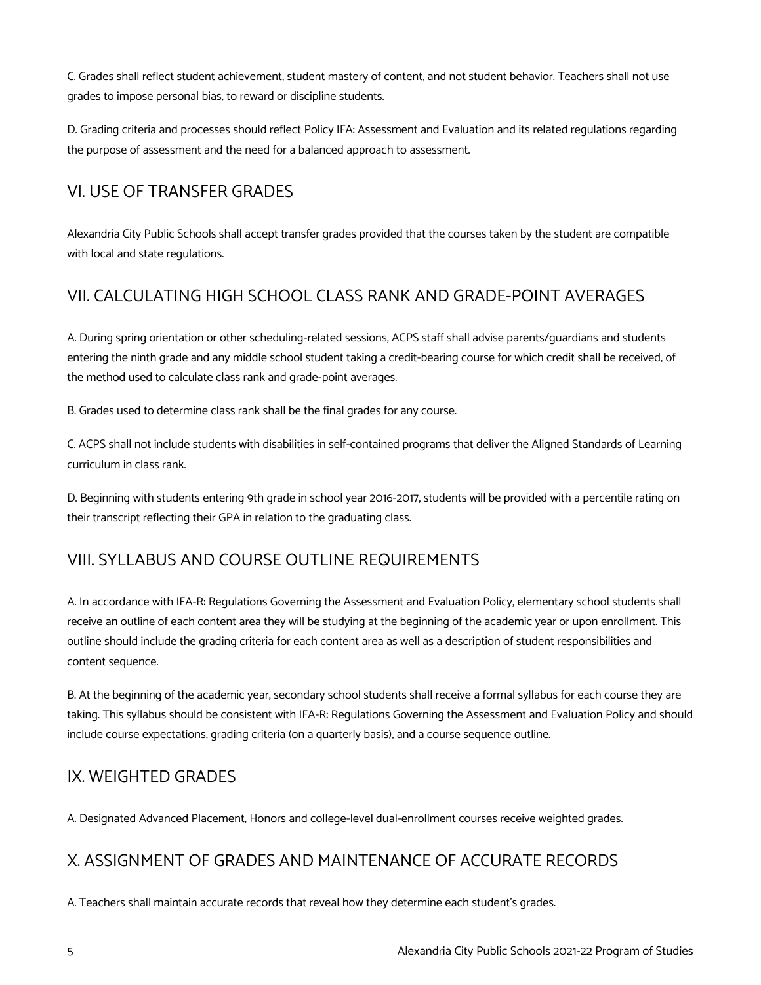C. Grades shall reflect student achievement, student mastery of content, and not student behavior. Teachers shall not use grades to impose personal bias, to reward or discipline students.

D. Grading criteria and processes should reflect Policy IFA: Assessment and Evaluation and its related regulations regarding the purpose of assessment and the need for a balanced approach to assessment.

#### VI. USE OF TRANSFER GRADES

Alexandria City Public Schools shall accept transfer grades provided that the courses taken by the student are compatible with local and state regulations.

## VII. CALCULATING HIGH SCHOOL CLASS RANK AND GRADE-POINT AVERAGES

A. During spring orientation or other scheduling-related sessions, ACPS staff shall advise parents/guardians and students entering the ninth grade and any middle school student taking a credit-bearing course for which credit shall be received, of the method used to calculate class rank and grade-point averages.

B. Grades used to determine class rank shall be the final grades for any course.

C. ACPS shall not include students with disabilities in self-contained programs that deliver the Aligned Standards of Learning curriculum in class rank.

D. Beginning with students entering 9th grade in school year 2016-2017, students will be provided with a percentile rating on their transcript reflecting their GPA in relation to the graduating class.

## VIII. SYLLABUS AND COURSE OUTLINE REQUIREMENTS

A. In accordance with IFA-R: Regulations Governing the Assessment and Evaluation Policy, elementary school students shall receive an outline of each content area they will be studying at the beginning of the academic year or upon enrollment. This outline should include the grading criteria for each content area as well as a description of student responsibilities and content sequence.

B. At the beginning of the academic year, secondary school students shall receive a formal syllabus for each course they are taking. This syllabus should be consistent with IFA-R: Regulations Governing the Assessment and Evaluation Policy and should include course expectations, grading criteria (on a quarterly basis), and a course sequence outline.

## IX. WEIGHTED GRADES

A. Designated Advanced Placement, Honors and college-level dual-enrollment courses receive weighted grades.

## X. ASSIGNMENT OF GRADES AND MAINTENANCE OF ACCURATE RECORDS

A. Teachers shall maintain accurate records that reveal how they determine each student's grades.